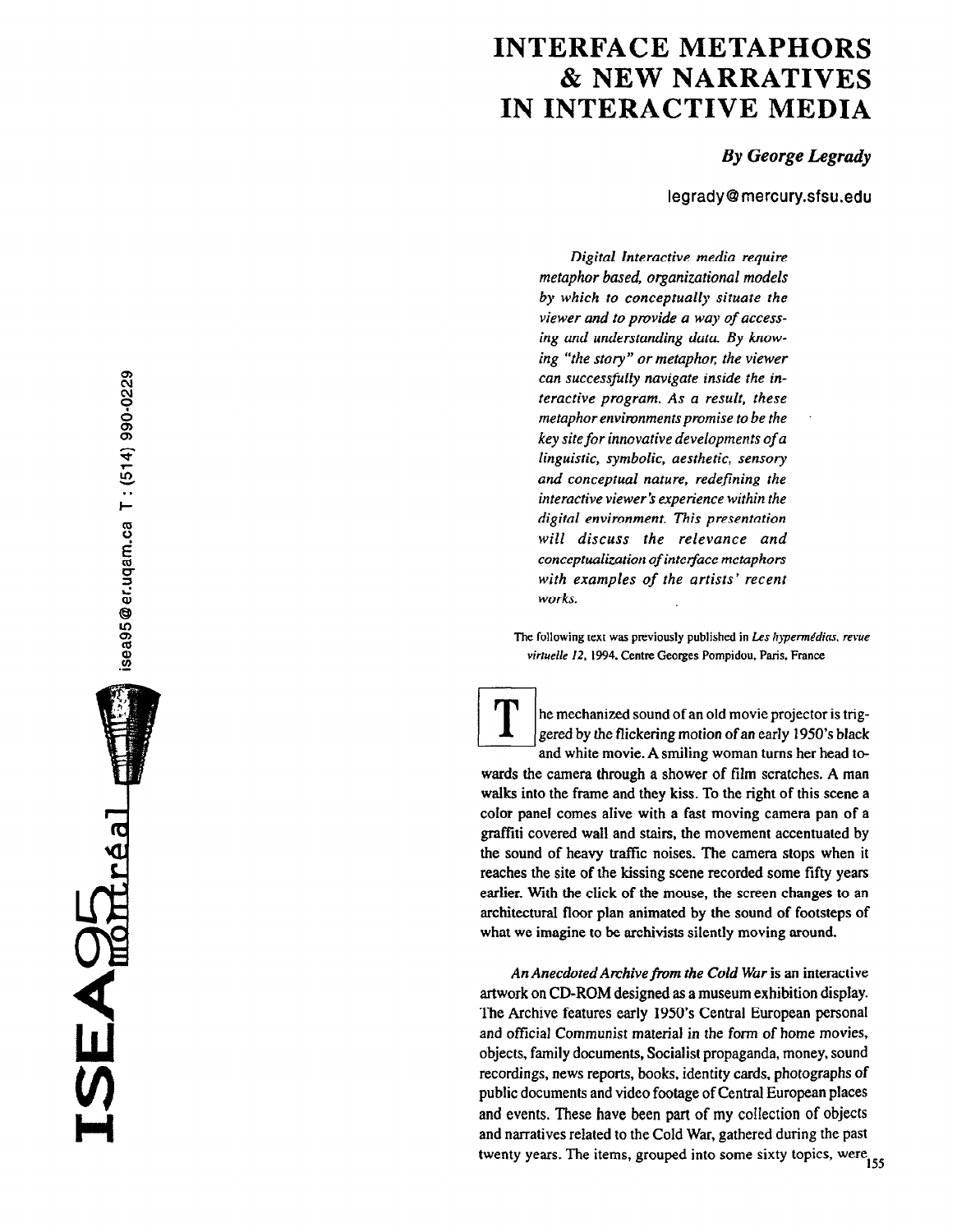## INTERFACE METAPHORS & NEW NARRATIVES IN INTERACTIVE MEDIA

## By George Legrady

legradyQmercury.sfsu.edu

Digital Interactive media require metaphor based, organizational models by which to conceptually situate the viewer and to provide a way of accessing and understanding data. By knowing "the story" or metaphor; the viewer can successfilly navigate inside the interactive program. As a result, these metaphor environments promise to be the key site for innovative developments of a linguistic, symbolic, aesthetic, sensory and conceptual nature, redefining the interactive viewer's experience within the digital environment. This presentation will discuss the relevance and conceptualization of interface metaphors with examples of the artists' recent works.

The following text was previously published in Les hypermédias, revue virtuelle 12. 1994. Centre Georges Pompidou. Paris, France

the mechanized sound of an old movie projector is trig-<br>gered by the flickering motion of an early 1950's black<br>and white movie. A smiling woman turns her head togered by the flickering motion of an early 1950's black and white movie. A smiling woman turns her head towards the camera through a shower of film scratches. A man walks into the frame and they kiss. To the right of this scene a color panel comes alive with a fast moving camera pan of a

graffiti covered wall and stairs, the movement accentuated by the sound of heavy traflic noises. The camera stops when it reaches the site of the kissing scene recorded some fifty years earlier. With the click of the mouse, the screen changes to an architectural floor plan animated by the sound of footsteps of what we imagine to be archivists silently moving around.

An Anecdoted Archive from the Cold War is an interactive artwork on CD-ROM designed as a museum exhibition display. The Archive features early 1950's Central European personal and official Communist material in the form of home movies, objects, family documents, Socialist propaganda, money, sound recordings, news reports, books, identity cards, photographs of public documents and video footage of Central European places and events. These have been part of my collection of objects and narratives related to the Cold War, gathered during the past twenty years. The items, grouped into some sixty topics, were

SEAGE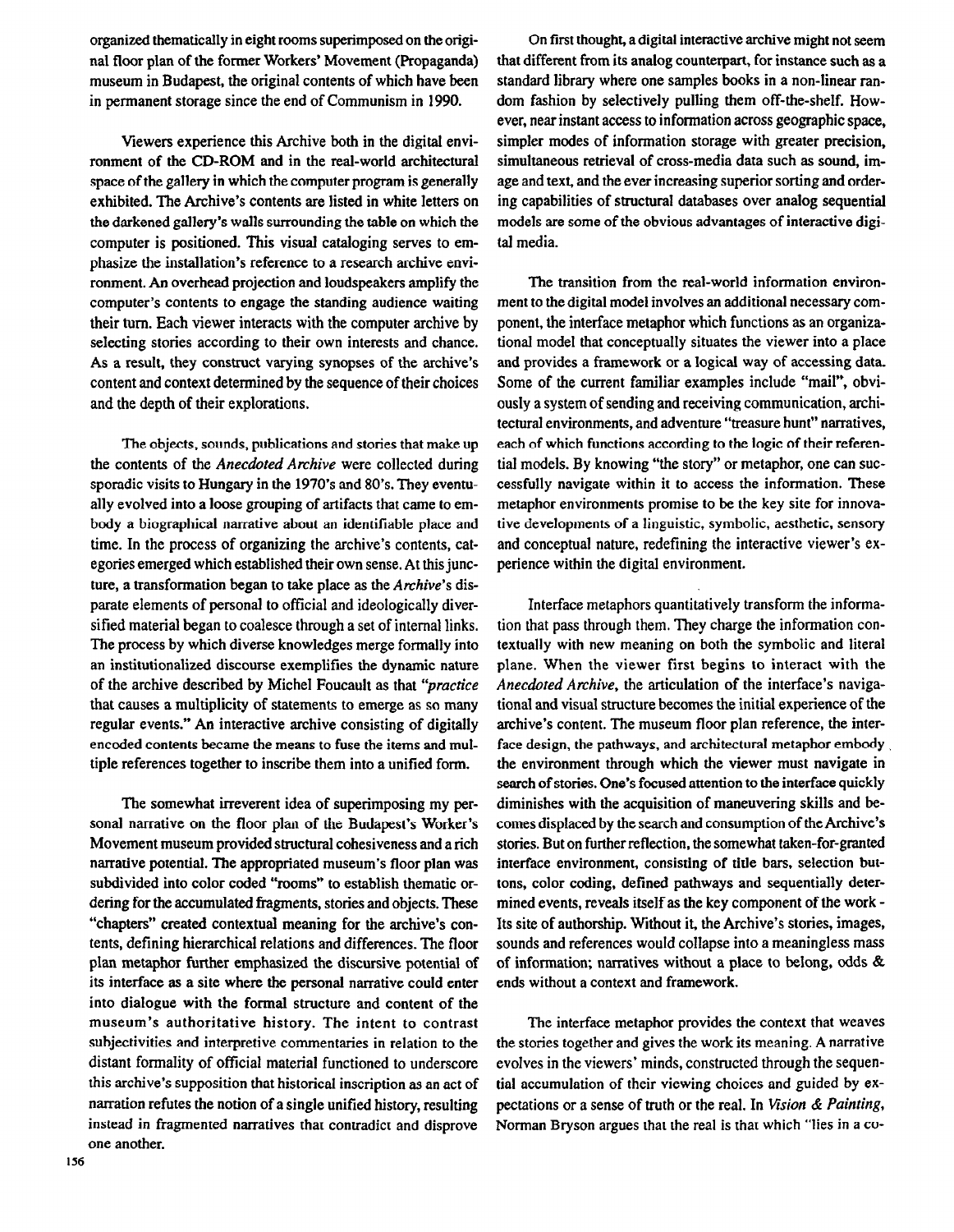organized thematically in eight rooms superimposed on the original floor plan of the former Workers' Movement (Propaganda) museum in Budapest, the original contents of which have been in permanent storage since the end of Communism in 1990.

Viewers experience this Archive both in the digital environment of the CD-ROM and in the real-world architectural space of the gallery in which the computer program is generally exhibited. The Archive's contents are listed in white letters on the darkened gallery's walls surrounding the table on which the computer is positioned. This visual cataloging serves to emphasize the installation's reference to a research archive environment. An overhead projection and loudspeakers amplify the computer's contents to engage the standing audience waiting their turn. Each viewer interacts with the computer archive by selecting stories according to their own interests and chance. As a result, they construct varying synopses of the archive's content and context determined by the sequence of their choices and the depth of their explorations.

The objects, sounds, publications and stories that make up the contents of the *Anecdoted Archive* were collected during sporadic visits to Hungary in the 1970's and 80's. They eventually evolved into a loose grouping of artifacts that came to embody a biographical narrative about an identifiable place and time. In the process of organizing the archive's contents, categories emerged which established their own sense. At this juncture, a transformation began to take place as the Archive's disparate elements of personal to official and ideologically diversified material began to coalesce through a set of internal links. The process by which diverse knowledges merge formally into an institutionalized discourse exemplifies the dynamic nature of the archive described by Michel Foucault as that "practice that causes a multiplicity of statements to emerge as so many regular events." An interactive archive consisting of digitally encoded contents became the means to fuse the items and multiple references together to inscribe them into a unified form.

The somewhat irreverent idea of superimposing my personal narrative on the floor plan of the Budapest's Worker's Movement museum provided structural cohesiveness and a rich narrative potential. The appropriated museum's floor plan was subdivided into color coded "rooms" to establish thematic ordering for the accumulated fragments, stories and objects. These "chapters" created contextual meaning for the archive's contents, defining hierarchical relations and differences. The floor plan metaphor further emphasized the discursive potential of its interface as a site where the personal narrative could enter into dialogue with the formal structure and content of the museum's authoritative history. The intent to contrast subjectivities and interpretive commentaries in relation to the distant formality of official material functioned to underscore this archive's supposition that historical inscription as an act of narration refutes the notion of a single unified history, resulting instead in fragmented narratives that contradict and disprove one another.

On first thought, a digital interactive archive might not seem that different from its analog counterpart, for instance such as a standard library where one samples books in a non-linear random fashion by selectively pulling them off-the-shelf. However, near instant access to information across geographic space, simpler modes of information storage with greater precision, simultaneous retrieval of cross-media data such as sound, image and text, and the ever increasing superior sorting and ordering capabilities of structural databases over analog sequential models are some of the obvious advantages of interactive digital media.

The transition from the real-world information environment to the digital model involves an additional necessary component, the interface metaphor which functions as an organizational model that conceptually situates the viewer into a place and provides a framework or a logical way of accessing data. Some of the current familiar examples include "mail", obviously a system of sending and receiving communication, architectural environments, and adventure "treasure hunt" narratives, each of which functions according to the logic of their referential models. By knowing "the story" or metaphor, one can successfully navigate within it to access the information. These metaphor environments promise to be the key site for innovative developments of a linguistic, symbolic, aesthetic, sensory and conceptual nature, redefining the interactive viewer's experience within the digital environment.

Interface metaphors quantitatively transform the information that pass through them. They charge the information contextually with new meaning on both the symbolic and literal plane. When the viewer first begins to interact with the Anecdoted Archive, the articulation of the interface's navigational and visual structure becomes the initial experience of the archive's content. The museum floor plan reference, the interface design, the pathways, and architectural metaphor embody, the environment through which the viewer must navigate in search of stories. One's focused attention to the interface quickly diminishes with the acquisition of maneuvering skills and becomes displaced by the search and consumption of the Archive's stories. But on further reflection, the somewhat taken-for-granted interface environment, consisting of title bars, selection buttons, color coding, defined pathways and sequentially determined events, reveals itself as the key component of the work - Its site of authorship. Without it, the Archive's stories, images, sounds and references would collapse into a meaningless mass of information; narratives without a place to belong, odds & ends without a context and framework.

The interface metaphor provides the context that weaves the stories together and gives the work its meaning. A narrative evolves in the viewers' minds, constructed through the sequential accumulation of their viewing choices and guided by expectations or a sense of truth or the real. In Vision & Painting, Norman Bryson argues that the real is that which "lies in a CO-